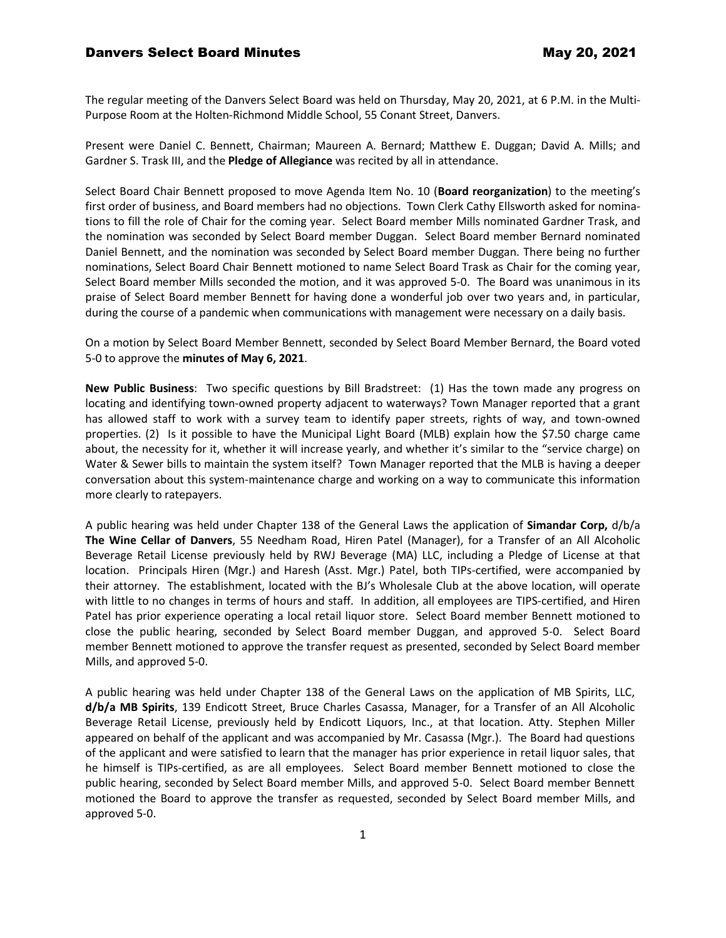The regular meeting of the Danvers Select Board was held on Thursday, May 20, 2021, at 6 P.M. in the Multi-Purpose Room at the Holten-Richmond Middle School, 55 Conant Street, Danvers.

Present were Daniel C. Bennett, Chairman; Maureen A. Bernard; Matthew E. Duggan; David A. Mills; and Gardner S. Trask III, and the **Pledge of Allegiance** was recited by all in attendance.

Select Board Chair Bennett proposed to move Agenda Item No. 10 (**Board reorganization**) to the meeting's first order of business, and Board members had no objections. Town Clerk Cathy Ellsworth asked for nominations to fill the role of Chair for the coming year. Select Board member Mills nominated Gardner Trask, and the nomination was seconded by Select Board member Duggan. Select Board member Bernard nominated Daniel Bennett, and the nomination was seconded by Select Board member Duggan. There being no further nominations, Select Board Chair Bennett motioned to name Select Board Trask as Chair for the coming year, Select Board member Mills seconded the motion, and it was approved 5-0. The Board was unanimous in its praise of Select Board member Bennett for having done a wonderful job over two years and, in particular, during the course of a pandemic when communications with management were necessary on a daily basis.

On a motion by Select Board Member Bennett, seconded by Select Board Member Bernard, the Board voted 5-0 to approve the **minutes of May 6, 2021**.

**New Public Business**: Two specific questions by Bill Bradstreet: (1) Has the town made any progress on locating and identifying town-owned property adjacent to waterways? Town Manager reported that a grant has allowed staff to work with a survey team to identify paper streets, rights of way, and town-owned properties. (2) Is it possible to have the Municipal Light Board (MLB) explain how the \$7.50 charge came about, the necessity for it, whether it will increase yearly, and whether it's similar to the "service charge) on Water & Sewer bills to maintain the system itself? Town Manager reported that the MLB is having a deeper conversation about this system-maintenance charge and working on a way to communicate this information more clearly to ratepayers.

A public hearing was held under Chapter 138 of the General Laws the application of **Simandar Corp,** d/b/a **The Wine Cellar of Danvers**, 55 Needham Road, Hiren Patel (Manager), for a Transfer of an All Alcoholic Beverage Retail License previously held by RWJ Beverage (MA) LLC, including a Pledge of License at that location. Principals Hiren (Mgr.) and Haresh (Asst. Mgr.) Patel, both TIPs-certified, were accompanied by their attorney. The establishment, located with the BJ's Wholesale Club at the above location, will operate with little to no changes in terms of hours and staff. In addition, all employees are TIPS-certified, and Hiren Patel has prior experience operating a local retail liquor store. Select Board member Bennett motioned to close the public hearing, seconded by Select Board member Duggan, and approved 5-0. Select Board member Bennett motioned to approve the transfer request as presented, seconded by Select Board member Mills, and approved 5-0.

A public hearing was held under Chapter 138 of the General Laws on the application of MB Spirits, LLC, **d/b/a MB Spirits**, 139 Endicott Street, Bruce Charles Casassa, Manager, for a Transfer of an All Alcoholic Beverage Retail License, previously held by Endicott Liquors, Inc., at that location. Atty. Stephen Miller appeared on behalf of the applicant and was accompanied by Mr. Casassa (Mgr.). The Board had questions of the applicant and were satisfied to learn that the manager has prior experience in retail liquor sales, that he himself is TIPs-certified, as are all employees. Select Board member Bennett motioned to close the public hearing, seconded by Select Board member Mills, and approved 5-0. Select Board member Bennett motioned the Board to approve the transfer as requested, seconded by Select Board member Mills, and approved 5-0.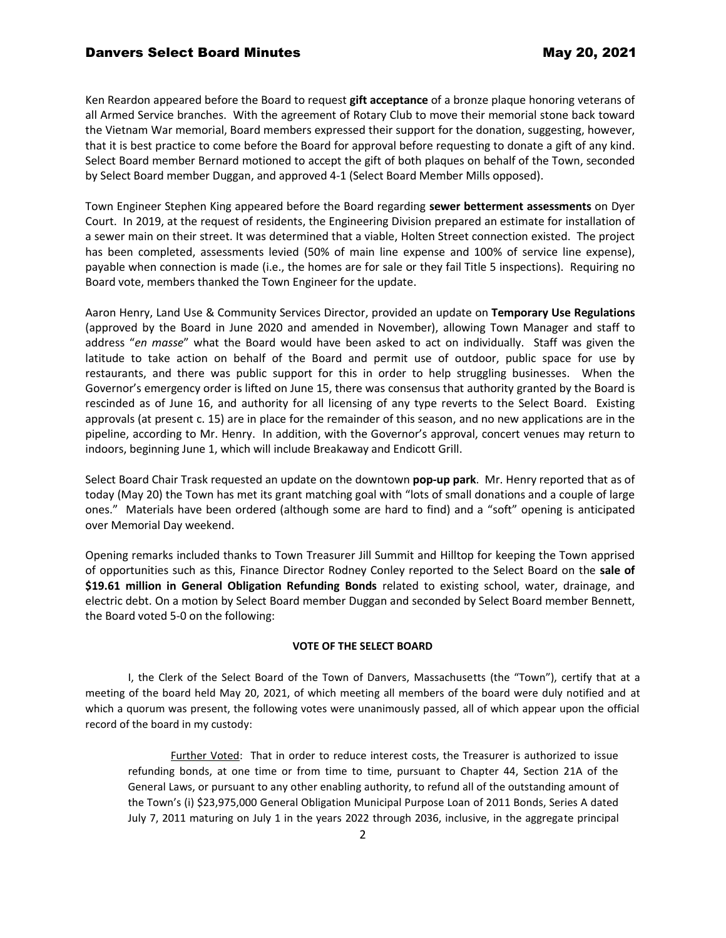Ken Reardon appeared before the Board to request **gift acceptance** of a bronze plaque honoring veterans of all Armed Service branches. With the agreement of Rotary Club to move their memorial stone back toward the Vietnam War memorial, Board members expressed their support for the donation, suggesting, however, that it is best practice to come before the Board for approval before requesting to donate a gift of any kind. Select Board member Bernard motioned to accept the gift of both plaques on behalf of the Town, seconded by Select Board member Duggan, and approved 4-1 (Select Board Member Mills opposed).

Town Engineer Stephen King appeared before the Board regarding **sewer betterment assessments** on Dyer Court. In 2019, at the request of residents, the Engineering Division prepared an estimate for installation of a sewer main on their street. It was determined that a viable, Holten Street connection existed. The project has been completed, assessments levied (50% of main line expense and 100% of service line expense), payable when connection is made (i.e., the homes are for sale or they fail Title 5 inspections). Requiring no Board vote, members thanked the Town Engineer for the update.

Aaron Henry, Land Use & Community Services Director, provided an update on **Temporary Use Regulations**  (approved by the Board in June 2020 and amended in November), allowing Town Manager and staff to address "*en masse*" what the Board would have been asked to act on individually. Staff was given the latitude to take action on behalf of the Board and permit use of outdoor, public space for use by restaurants, and there was public support for this in order to help struggling businesses. When the Governor's emergency order is lifted on June 15, there was consensus that authority granted by the Board is rescinded as of June 16, and authority for all licensing of any type reverts to the Select Board. Existing approvals (at present c. 15) are in place for the remainder of this season, and no new applications are in the pipeline, according to Mr. Henry. In addition, with the Governor's approval, concert venues may return to indoors, beginning June 1, which will include Breakaway and Endicott Grill.

Select Board Chair Trask requested an update on the downtown **pop-up park**. Mr. Henry reported that as of today (May 20) the Town has met its grant matching goal with "lots of small donations and a couple of large ones." Materials have been ordered (although some are hard to find) and a "soft" opening is anticipated over Memorial Day weekend.

Opening remarks included thanks to Town Treasurer Jill Summit and Hilltop for keeping the Town apprised of opportunities such as this, Finance Director Rodney Conley reported to the Select Board on the **sale of \$19.61 million in General Obligation Refunding Bonds** related to existing school, water, drainage, and electric debt. On a motion by Select Board member Duggan and seconded by Select Board member Bennett, the Board voted 5-0 on the following:

#### **VOTE OF THE SELECT BOARD**

I, the Clerk of the Select Board of the Town of Danvers, Massachusetts (the "Town"), certify that at a meeting of the board held May 20, 2021, of which meeting all members of the board were duly notified and at which a quorum was present, the following votes were unanimously passed, all of which appear upon the official record of the board in my custody:

Further Voted: That in order to reduce interest costs, the Treasurer is authorized to issue refunding bonds, at one time or from time to time, pursuant to Chapter 44, Section 21A of the General Laws, or pursuant to any other enabling authority, to refund all of the outstanding amount of the Town's (i) \$23,975,000 General Obligation Municipal Purpose Loan of 2011 Bonds, Series A dated July 7, 2011 maturing on July 1 in the years 2022 through 2036, inclusive, in the aggregate principal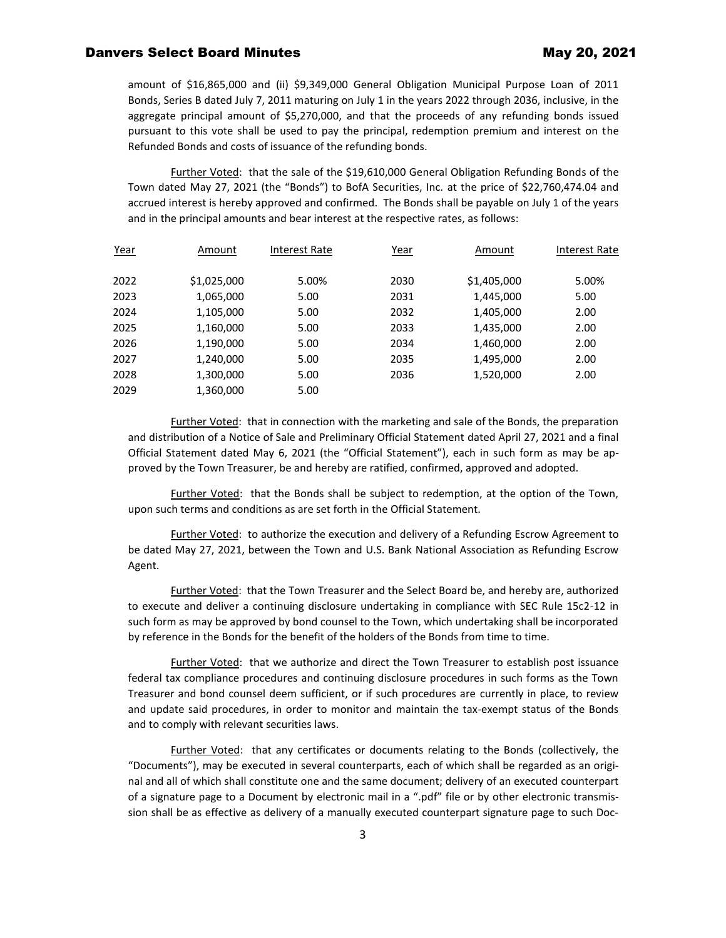amount of \$16,865,000 and (ii) \$9,349,000 General Obligation Municipal Purpose Loan of 2011 Bonds, Series B dated July 7, 2011 maturing on July 1 in the years 2022 through 2036, inclusive, in the aggregate principal amount of \$5,270,000, and that the proceeds of any refunding bonds issued pursuant to this vote shall be used to pay the principal, redemption premium and interest on the Refunded Bonds and costs of issuance of the refunding bonds.

Further Voted: that the sale of the \$19,610,000 General Obligation Refunding Bonds of the Town dated May 27, 2021 (the "Bonds") to BofA Securities, Inc. at the price of \$22,760,474.04 and accrued interest is hereby approved and confirmed. The Bonds shall be payable on July 1 of the years and in the principal amounts and bear interest at the respective rates, as follows:

| <u>Year</u> | Amount      | Interest Rate | Year | Amount      | <b>Interest Rate</b> |
|-------------|-------------|---------------|------|-------------|----------------------|
| 2022        | \$1,025,000 | 5.00%         | 2030 | \$1,405,000 | 5.00%                |
| 2023        | 1,065,000   | 5.00          | 2031 | 1,445,000   | 5.00                 |
| 2024        | 1,105,000   | 5.00          | 2032 | 1,405,000   | 2.00                 |
| 2025        | 1,160,000   | 5.00          | 2033 | 1,435,000   | 2.00                 |
| 2026        | 1,190,000   | 5.00          | 2034 | 1,460,000   | 2.00                 |
| 2027        | 1,240,000   | 5.00          | 2035 | 1,495,000   | 2.00                 |
| 2028        | 1,300,000   | 5.00          | 2036 | 1,520,000   | 2.00                 |
| 2029        | 1,360,000   | 5.00          |      |             |                      |

Further Voted: that in connection with the marketing and sale of the Bonds, the preparation and distribution of a Notice of Sale and Preliminary Official Statement dated April 27, 2021 and a final Official Statement dated May 6, 2021 (the "Official Statement"), each in such form as may be approved by the Town Treasurer, be and hereby are ratified, confirmed, approved and adopted.

Further Voted: that the Bonds shall be subject to redemption, at the option of the Town, upon such terms and conditions as are set forth in the Official Statement.

Further Voted: to authorize the execution and delivery of a Refunding Escrow Agreement to be dated May 27, 2021, between the Town and U.S. Bank National Association as Refunding Escrow Agent.

Further Voted: that the Town Treasurer and the Select Board be, and hereby are, authorized to execute and deliver a continuing disclosure undertaking in compliance with SEC Rule 15c2-12 in such form as may be approved by bond counsel to the Town, which undertaking shall be incorporated by reference in the Bonds for the benefit of the holders of the Bonds from time to time.

Further Voted: that we authorize and direct the Town Treasurer to establish post issuance federal tax compliance procedures and continuing disclosure procedures in such forms as the Town Treasurer and bond counsel deem sufficient, or if such procedures are currently in place, to review and update said procedures, in order to monitor and maintain the tax-exempt status of the Bonds and to comply with relevant securities laws.

Further Voted: that any certificates or documents relating to the Bonds (collectively, the "Documents"), may be executed in several counterparts, each of which shall be regarded as an original and all of which shall constitute one and the same document; delivery of an executed counterpart of a signature page to a Document by electronic mail in a ".pdf" file or by other electronic transmission shall be as effective as delivery of a manually executed counterpart signature page to such Doc-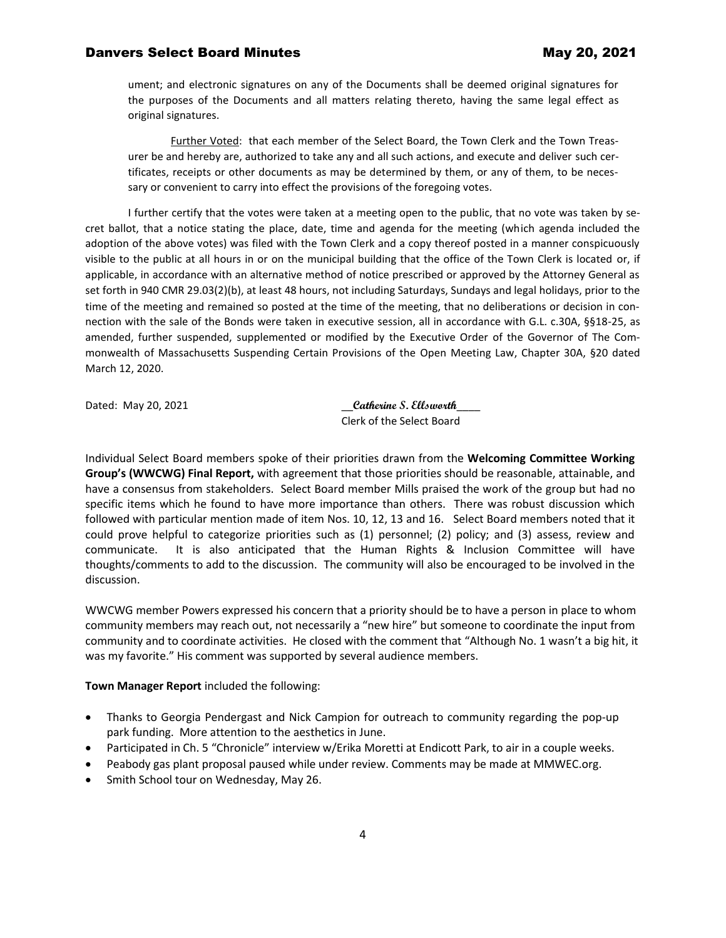ument; and electronic signatures on any of the Documents shall be deemed original signatures for the purposes of the Documents and all matters relating thereto, having the same legal effect as original signatures.

Further Voted: that each member of the Select Board, the Town Clerk and the Town Treasurer be and hereby are, authorized to take any and all such actions, and execute and deliver such certificates, receipts or other documents as may be determined by them, or any of them, to be necessary or convenient to carry into effect the provisions of the foregoing votes.

I further certify that the votes were taken at a meeting open to the public, that no vote was taken by secret ballot, that a notice stating the place, date, time and agenda for the meeting (which agenda included the adoption of the above votes) was filed with the Town Clerk and a copy thereof posted in a manner conspicuously visible to the public at all hours in or on the municipal building that the office of the Town Clerk is located or, if applicable, in accordance with an alternative method of notice prescribed or approved by the Attorney General as set forth in 940 CMR 29.03(2)(b), at least 48 hours, not including Saturdays, Sundays and legal holidays, prior to the time of the meeting and remained so posted at the time of the meeting, that no deliberations or decision in connection with the sale of the Bonds were taken in executive session, all in accordance with G.L. c.30A, §§18-25, as amended, further suspended, supplemented or modified by the Executive Order of the Governor of The Commonwealth of Massachusetts Suspending Certain Provisions of the Open Meeting Law, Chapter 30A, §20 dated March 12, 2020.

Dated: May 20, 2021 **b Catherine S. Ellsworth** Clerk of the Select Board

Individual Select Board members spoke of their priorities drawn from the **Welcoming Committee Working Group's (WWCWG) Final Report,** with agreement that those priorities should be reasonable, attainable, and have a consensus from stakeholders. Select Board member Mills praised the work of the group but had no specific items which he found to have more importance than others. There was robust discussion which followed with particular mention made of item Nos. 10, 12, 13 and 16. Select Board members noted that it could prove helpful to categorize priorities such as (1) personnel; (2) policy; and (3) assess, review and communicate. It is also anticipated that the Human Rights & Inclusion Committee will have thoughts/comments to add to the discussion. The community will also be encouraged to be involved in the discussion.

WWCWG member Powers expressed his concern that a priority should be to have a person in place to whom community members may reach out, not necessarily a "new hire" but someone to coordinate the input from community and to coordinate activities. He closed with the comment that "Although No. 1 wasn't a big hit, it was my favorite." His comment was supported by several audience members.

#### **Town Manager Report** included the following:

- Thanks to Georgia Pendergast and Nick Campion for outreach to community regarding the pop-up park funding. More attention to the aesthetics in June.
- Participated in Ch. 5 "Chronicle" interview w/Erika Moretti at Endicott Park, to air in a couple weeks.
- Peabody gas plant proposal paused while under review. Comments may be made at MMWEC.org.
- Smith School tour on Wednesday, May 26.